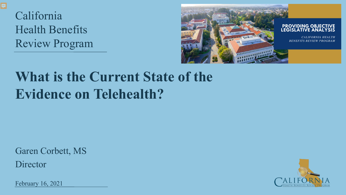California Health Benefits Review Program



# **What is the Current State of the Evidence on Telehealth?**

Garen Corbett, MS

**Director** 

February 16, 2021

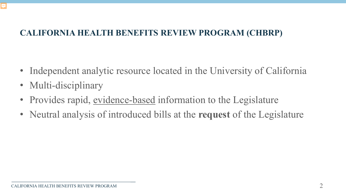- Independent analytic resource located in the University of California
- Multi-disciplinary
- Provides rapid, evidence-based information to the Legislature
- Neutral analysis of introduced bills at the **request** of the Legislature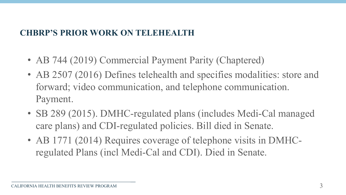#### **CHBRP'S PRIOR WORK ON TELEHEALTH**

- AB 744 (2019) Commercial Payment Parity (Chaptered)
- AB 2507 (2016) Defines telehealth and specifies modalities: store and forward; video communication, and telephone communication. Payment.
- SB 289 (2015). DMHC-regulated plans (includes Medi-Cal managed care plans) and CDI-regulated policies. Bill died in Senate.
- AB 1771 (2014) Requires coverage of telephone visits in DMHCregulated Plans (incl Medi-Cal and CDI). Died in Senate.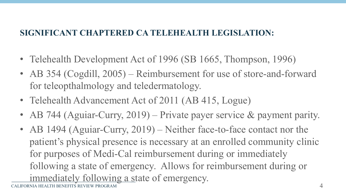### **SIGNIFICANT CHAPTERED CA TELEHEALTH LEGISLATION:**

- Telehealth Development Act of 1996 (SB 1665, Thompson, 1996)
- AB 354 (Cogdill, 2005) Reimbursement for use of store-and-forward for teleopthalmology and teledermatology.
- Telehealth Advancement Act of 2011 (AB 415, Logue)
- AB 744 (Aguiar-Curry, 2019) Private payer service & payment parity.
- CALIFORNIA HEALTH BENEFITS REVIEW PROGRAM • AB 1494 (Aguiar-Curry, 2019) – Neither face-to-face contact nor the patient's physical presence is necessary at an enrolled community clinic for purposes of Medi-Cal reimbursement during or immediately following a state of emergency. Allows for reimbursement during or immediately following a state of emergency.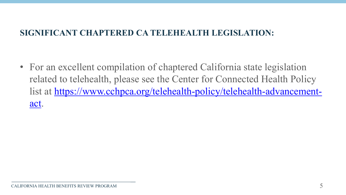#### **SIGNIFICANT CHAPTERED CA TELEHEALTH LEGISLATION:**

• For an excellent compilation of chaptered California state legislation related to telehealth, please see the Center for Connected Health Policy [list at https://www.cchpca.org/telehealth-policy/telehealth-advancement](https://www.cchpca.org/telehealth-policy/telehealth-advancement-act)act.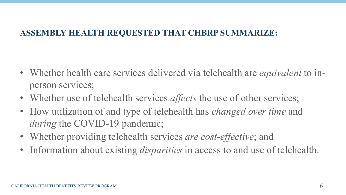#### **ASSEMBLY HEALTH REQUESTED THAT CHBRP SUMMARIZE:**

- Whether health care services delivered via telehealth are *equivalent* to inperson services;
- Whether use of telehealth services *affects* the use of other services;
- How utilization of and type of telehealth has *changed over time* and *during* the COVID-19 pandemic;
- Whether providing telehealth services *are cost-effective*; and
- Information about existing *disparities* in access to and use of telehealth.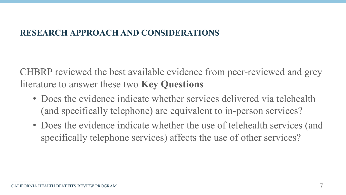#### **RESEARCH APPROACH AND CONSIDERATIONS**

CHBRP reviewed the best available evidence from peer-reviewed and grey literature to answer these two **Key Questions**

- Does the evidence indicate whether services delivered via telehealth (and specifically telephone) are equivalent to in-person services?
- Does the evidence indicate whether the use of telehealth services (and specifically telephone services) affects the use of other services?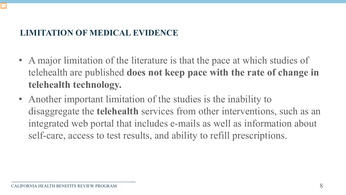### **LIMITATION OF MEDICAL EVIDENCE**

- A major limitation of the literature is that the pace at which studies of telehealth are published **does not keep pace with the rate of change in telehealth technology.**
- Another important limitation of the studies is the inability to disaggregate the **telehealth** services from other interventions, such as an integrated web portal that includes e-mails as well as information about self-care, access to test results, and ability to refill prescriptions.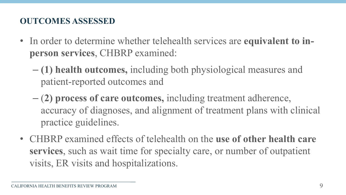### **OUTCOMES ASSESSED**

- In order to determine whether telehealth services are **equivalent to inperson services**, CHBRP examined:
	- **(1) health outcomes,** including both physiological measures and patient-reported outcomes and
	- (**2) process of care outcomes,** including treatment adherence, accuracy of diagnoses, and alignment of treatment plans with clinical practice guidelines.
- CHBRP examined effects of telehealth on the **use of other health care services**, such as wait time for specialty care, or number of outpatient visits, ER visits and hospitalizations.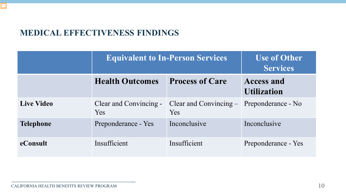#### **MEDICAL EFFECTIVENESS FINDINGS**

|                   | <b>Equivalent to In-Person Services</b> |                                  | <b>Use of Other</b><br><b>Services</b>  |
|-------------------|-----------------------------------------|----------------------------------|-----------------------------------------|
|                   | <b>Health Outcomes</b>                  | <b>Process of Care</b>           | <b>Access and</b><br><b>Utilization</b> |
| <b>Live Video</b> | Clear and Convincing -<br><b>Yes</b>    | Clear and Convincing $-$<br>Yes. | Preponderance - No                      |
| <b>Telephone</b>  | Preponderance - Yes                     | Inconclusive                     | Inconclusive                            |
| eConsult          | Insufficient                            | Insufficient                     | Preponderance - Yes                     |

ロ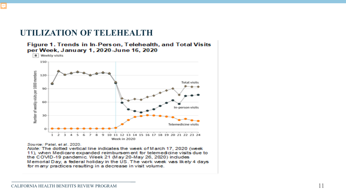#### **UTILIZATION OF TELEHEALTH**

Figure 1. Trends in In-Person, Telehealth, and Total Visits per Week, January 1, 2020-June 16, 2020



Source: Patel, et al., 2020.

Note: The dotted vertical line indicates the week of March 17, 2020 (week 11), when Medicare expanded reimbursement for telemedicine visits due to the COVID-19 pandemic. Week 21 (May 20-May 26, 2020) includes Memorial Day, a federal holiday in the US. The work week was likely 4 days for many practices resulting in a decrease in visit volume.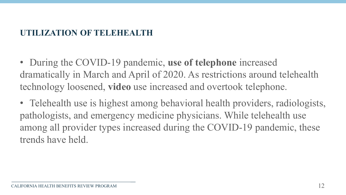### UTILIZATION OF TELEHEALTH

• During the COVID-19 pandemic, **use of telephone** increased dramatically in March and April of 2020. As restrictions around telehealth technology loosened, **video** use increased and overtook telephone.

• Telehealth use is highest among behavioral health providers, radiologists, pathologists, and emergency medicine physicians. While telehealth use among all provider types increased during the COVID-19 pandemic, these trends have held.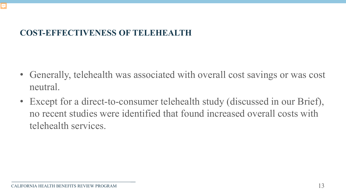### **COST-EFFECTIVENESS OF TELEHEALTH**

- Generally, telehealth was associated with overall cost savings or was cost neutral.
- Except for a direct-to-consumer telehealth study (discussed in our Brief), no recent studies were identified that found increased overall costs with telehealth services.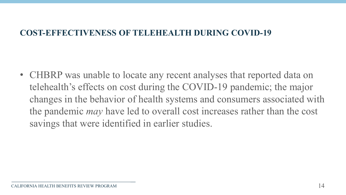#### **COST-EFFECTIVENESS OF TELEHEALTH DURING COVID-19**

• CHBRP was unable to locate any recent analyses that reported data on telehealth's effects on cost during the COVID-19 pandemic; the major changes in the behavior of health systems and consumers associated with the pandemic *may* have led to overall cost increases rather than the cost savings that were identified in earlier studies.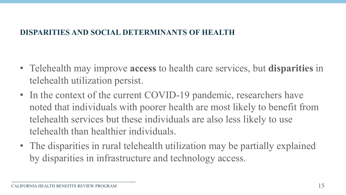#### **DISPARITIES AND SOCIAL DETERMINANTS OF HEALTH**

- Telehealth may improve **access** to health care services, but **disparities** in telehealth utilization persist.
- In the context of the current COVID-19 pandemic, researchers have noted that individuals with poorer health are most likely to benefit from telehealth services but these individuals are also less likely to use telehealth than healthier individuals.
- The disparities in rural telehealth utilization may be partially explained by disparities in infrastructure and technology access.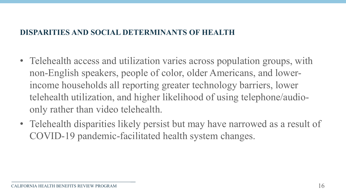#### **DISPARITIES AND SOCIAL DETERMINANTS OF HEALTH**

- Telehealth access and utilization varies across population groups, with non-English speakers, people of color, older Americans, and lowerincome households all reporting greater technology barriers, lower telehealth utilization, and higher likelihood of using telephone/audioonly rather than video telehealth.
- Telehealth disparities likely persist but may have narrowed as a result of COVID-19 pandemic-facilitated health system changes.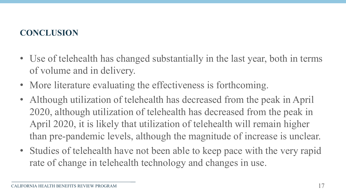### **CONCLUSION**

- Use of telehealth has changed substantially in the last year, both in terms of volume and in delivery.
- More literature evaluating the effectiveness is forthcoming.
- Although utilization of telehealth has decreased from the peak in April 2020, although utilization of telehealth has decreased from the peak in April 2020, it is likely that utilization of telehealth will remain higher than pre-pandemic levels, although the magnitude of increase is unclear.
- Studies of telehealth have not been able to keep pace with the very rapid rate of change in telehealth technology and changes in use.